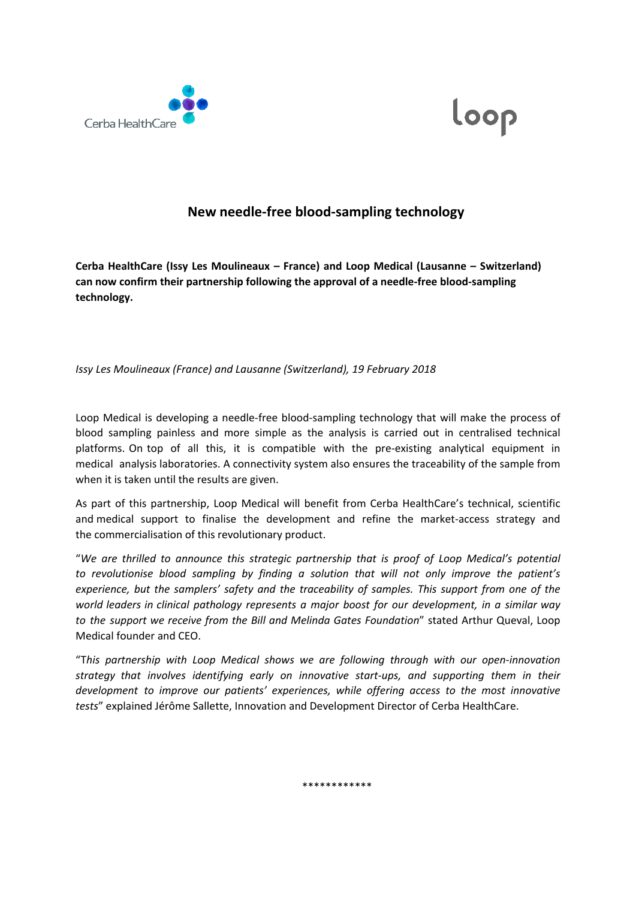



## **New needle-free blood-sampling technology**

**Cerba HealthCare (Issy Les Moulineaux – France) and Loop Medical (Lausanne – Switzerland) can now confirm their partnership following the approval of a needle-free blood-sampling technology.**

*Issy Les Moulineaux (France) and Lausanne (Switzerland), 19 February 2018* 

Loop Medical is developing a needle-free blood-sampling technology that will make the process of blood sampling painless and more simple as the analysis is carried out in centralised technical platforms. On top of all this, it is compatible with the pre-existing analytical equipment in medical analysis laboratories. A connectivity system also ensures the traceability of the sample from when it is taken until the results are given.

As part of this partnership, Loop Medical will benefit from Cerba HealthCare's technical, scientific and medical support to finalise the development and refine the market-access strategy and the commercialisation of this revolutionary product.

"*We are thrilled to announce this strategic partnership that is proof of Loop Medical's potential to revolutionise blood sampling by finding a solution that will not only improve the patient's experience, but the samplers' safety and the traceability of samples. This support from one of the world leaders in clinical pathology represents a major boost for our development, in a similar way to the support we receive from the Bill and Melinda Gates Foundation*" stated Arthur Queval, Loop Medical founder and CEO.

"T*his partnership with Loop Medical shows we are following through with our open-innovation strategy that involves identifying early on innovative start-ups, and supporting them in their development to improve our patients' experiences, while offering access to the most innovative tests*" explained Jérôme Sallette, Innovation and Development Director of Cerba HealthCare.

\*\*\*\*\*\*\*\*\*\*\*\*